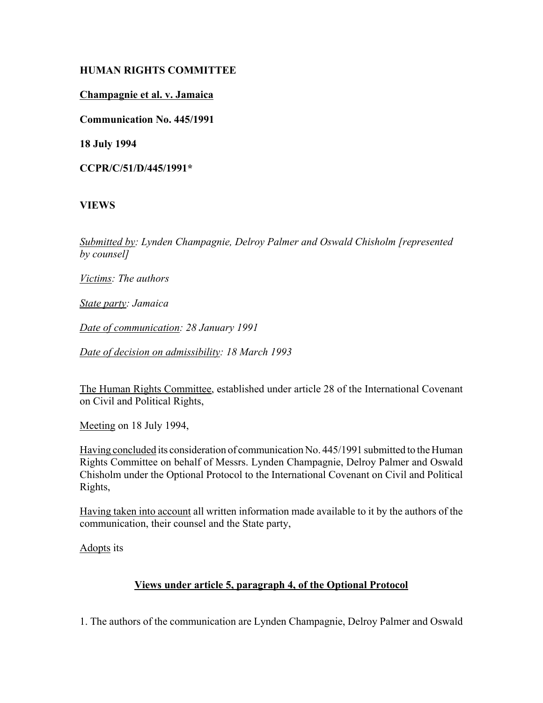## **HUMAN RIGHTS COMMITTEE**

## **Champagnie et al. v. Jamaica**

**Communication No. 445/1991**

**18 July 1994**

**CCPR/C/51/D/445/1991\***

# **VIEWS**

*Submitted by: Lynden Champagnie, Delroy Palmer and Oswald Chisholm [represented by counsel]*

*Victims: The authors*

*State party: Jamaica*

*Date of communication: 28 January 1991*

*Date of decision on admissibility: 18 March 1993*

The Human Rights Committee, established under article 28 of the International Covenant on Civil and Political Rights,

Meeting on 18 July 1994,

Having concluded its consideration of communication No. 445/1991 submitted to the Human Rights Committee on behalf of Messrs. Lynden Champagnie, Delroy Palmer and Oswald Chisholm under the Optional Protocol to the International Covenant on Civil and Political Rights,

Having taken into account all written information made available to it by the authors of the communication, their counsel and the State party,

Adopts its

# **Views under article 5, paragraph 4, of the Optional Protocol**

1. The authors of the communication are Lynden Champagnie, Delroy Palmer and Oswald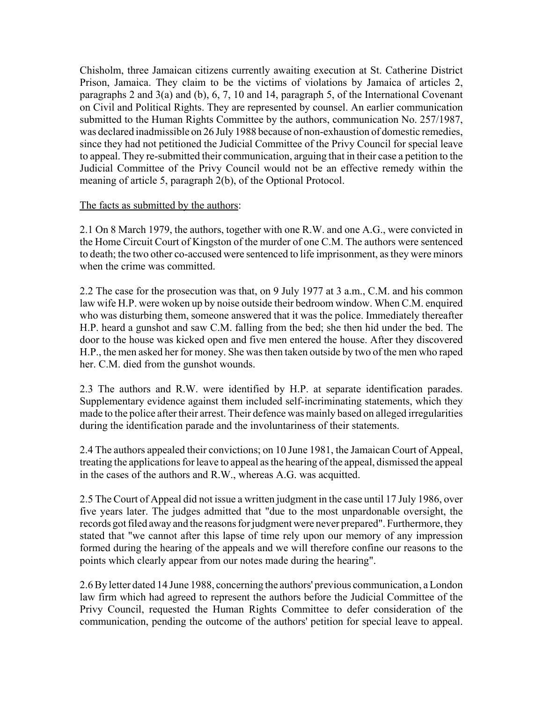Chisholm, three Jamaican citizens currently awaiting execution at St. Catherine District Prison, Jamaica. They claim to be the victims of violations by Jamaica of articles 2, paragraphs 2 and 3(a) and (b), 6, 7, 10 and 14, paragraph 5, of the International Covenant on Civil and Political Rights. They are represented by counsel. An earlier communication submitted to the Human Rights Committee by the authors, communication No. 257/1987, was declared inadmissible on 26 July 1988 because of non-exhaustion of domestic remedies, since they had not petitioned the Judicial Committee of the Privy Council for special leave to appeal. They re-submitted their communication, arguing that in their case a petition to the Judicial Committee of the Privy Council would not be an effective remedy within the meaning of article 5, paragraph 2(b), of the Optional Protocol.

### The facts as submitted by the authors:

2.1 On 8 March 1979, the authors, together with one R.W. and one A.G., were convicted in the Home Circuit Court of Kingston of the murder of one C.M. The authors were sentenced to death; the two other co-accused were sentenced to life imprisonment, as they were minors when the crime was committed.

2.2 The case for the prosecution was that, on 9 July 1977 at 3 a.m., C.M. and his common law wife H.P. were woken up by noise outside their bedroom window. When C.M. enquired who was disturbing them, someone answered that it was the police. Immediately thereafter H.P. heard a gunshot and saw C.M. falling from the bed; she then hid under the bed. The door to the house was kicked open and five men entered the house. After they discovered H.P., the men asked her for money. She was then taken outside by two of the men who raped her. C.M. died from the gunshot wounds.

2.3 The authors and R.W. were identified by H.P. at separate identification parades. Supplementary evidence against them included self-incriminating statements, which they made to the police after their arrest. Their defence was mainly based on alleged irregularities during the identification parade and the involuntariness of their statements.

2.4 The authors appealed their convictions; on 10 June 1981, the Jamaican Court of Appeal, treating the applications for leave to appeal as the hearing of the appeal, dismissed the appeal in the cases of the authors and R.W., whereas A.G. was acquitted.

2.5 The Court of Appeal did not issue a written judgment in the case until 17 July 1986, over five years later. The judges admitted that "due to the most unpardonable oversight, the records got filed away and the reasons for judgment were never prepared". Furthermore, they stated that "we cannot after this lapse of time rely upon our memory of any impression formed during the hearing of the appeals and we will therefore confine our reasons to the points which clearly appear from our notes made during the hearing".

2.6 By letter dated 14 June 1988, concerning the authors' previous communication, a London law firm which had agreed to represent the authors before the Judicial Committee of the Privy Council, requested the Human Rights Committee to defer consideration of the communication, pending the outcome of the authors' petition for special leave to appeal.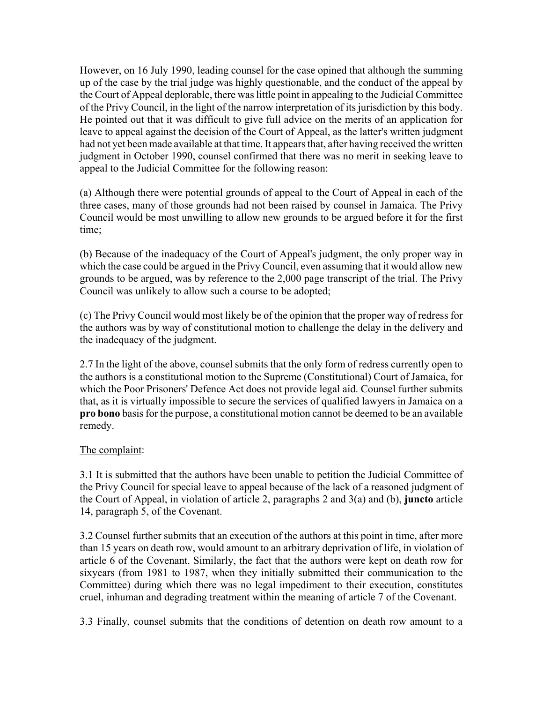However, on 16 July 1990, leading counsel for the case opined that although the summing up of the case by the trial judge was highly questionable, and the conduct of the appeal by the Court of Appeal deplorable, there was little point in appealing to the Judicial Committee of the Privy Council, in the light of the narrow interpretation of its jurisdiction by this body. He pointed out that it was difficult to give full advice on the merits of an application for leave to appeal against the decision of the Court of Appeal, as the latter's written judgment had not yet been made available at that time. It appears that, after having received the written judgment in October 1990, counsel confirmed that there was no merit in seeking leave to appeal to the Judicial Committee for the following reason:

(a) Although there were potential grounds of appeal to the Court of Appeal in each of the three cases, many of those grounds had not been raised by counsel in Jamaica. The Privy Council would be most unwilling to allow new grounds to be argued before it for the first time;

(b) Because of the inadequacy of the Court of Appeal's judgment, the only proper way in which the case could be argued in the Privy Council, even assuming that it would allow new grounds to be argued, was by reference to the 2,000 page transcript of the trial. The Privy Council was unlikely to allow such a course to be adopted;

(c) The Privy Council would most likely be of the opinion that the proper way of redress for the authors was by way of constitutional motion to challenge the delay in the delivery and the inadequacy of the judgment.

2.7 In the light of the above, counsel submits that the only form of redress currently open to the authors is a constitutional motion to the Supreme (Constitutional) Court of Jamaica, for which the Poor Prisoners' Defence Act does not provide legal aid. Counsel further submits that, as it is virtually impossible to secure the services of qualified lawyers in Jamaica on a **pro bono** basis for the purpose, a constitutional motion cannot be deemed to be an available remedy.

## The complaint:

3.1 It is submitted that the authors have been unable to petition the Judicial Committee of the Privy Council for special leave to appeal because of the lack of a reasoned judgment of the Court of Appeal, in violation of article 2, paragraphs 2 and 3(a) and (b), **juncto** article 14, paragraph 5, of the Covenant.

3.2 Counsel further submits that an execution of the authors at this point in time, after more than 15 years on death row, would amount to an arbitrary deprivation of life, in violation of article 6 of the Covenant. Similarly, the fact that the authors were kept on death row for sixyears (from 1981 to 1987, when they initially submitted their communication to the Committee) during which there was no legal impediment to their execution, constitutes cruel, inhuman and degrading treatment within the meaning of article 7 of the Covenant.

3.3 Finally, counsel submits that the conditions of detention on death row amount to a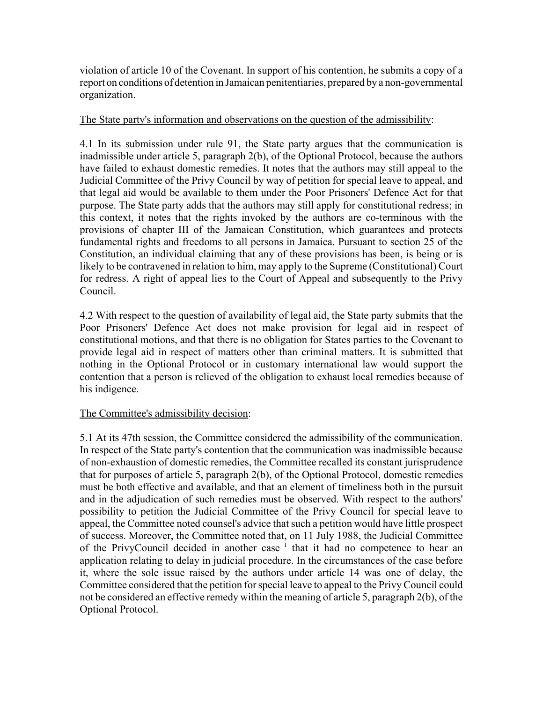violation of article 10 of the Covenant. In support of his contention, he submits a copy of a report on conditions of detention in Jamaican penitentiaries, prepared by a non-governmental organization.

#### The State party's information and observations on the question of the admissibility:

4.1 In its submission under rule 91, the State party argues that the communication is inadmissible under article 5, paragraph 2(b), of the Optional Protocol, because the authors have failed to exhaust domestic remedies. It notes that the authors may still appeal to the Judicial Committee of the Privy Council by way of petition for special leave to appeal, and that legal aid would be available to them under the Poor Prisoners' Defence Act for that purpose. The State party adds that the authors may still apply for constitutional redress; in this context, it notes that the rights invoked by the authors are co-terminous with the provisions of chapter III of the Jamaican Constitution, which guarantees and protects fundamental rights and freedoms to all persons in Jamaica. Pursuant to section 25 of the Constitution, an individual claiming that any of these provisions has been, is being or is likely to be contravened in relation to him, may apply to the Supreme (Constitutional) Court for redress. A right of appeal lies to the Court of Appeal and subsequently to the Privy Council.

4.2 With respect to the question of availability of legal aid, the State party submits that the Poor Prisoners' Defence Act does not make provision for legal aid in respect of constitutional motions, and that there is no obligation for States parties to the Covenant to provide legal aid in respect of matters other than criminal matters. It is submitted that nothing in the Optional Protocol or in customary international law would support the contention that a person is relieved of the obligation to exhaust local remedies because of his indigence.

## The Committee's admissibility decision:

5.1 At its 47th session, the Committee considered the admissibility of the communication. In respect of the State party's contention that the communication was inadmissible because of non-exhaustion of domestic remedies, the Committee recalled its constant jurisprudence that for purposes of article 5, paragraph 2(b), of the Optional Protocol, domestic remedies must be both effective and available, and that an element of timeliness both in the pursuit and in the adjudication of such remedies must be observed. With respect to the authors' possibility to petition the Judicial Committee of the Privy Council for special leave to appeal, the Committee noted counsel's advice that such a petition would have little prospect of success. Moreover, the Committee noted that, on 11 July 1988, the Judicial Committee of the PrivyCouncil decided in another case  $1$  that it had no competence to hear an application relating to delay in judicial procedure. In the circumstances of the case before it, where the sole issue raised by the authors under article 14 was one of delay, the Committee considered that the petition for special leave to appeal to the Privy Council could not be considered an effective remedy within the meaning of article 5, paragraph 2(b), of the Optional Protocol.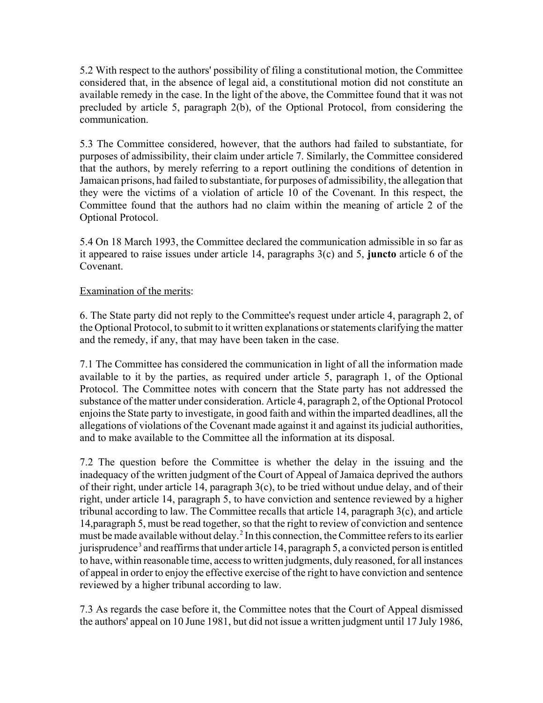5.2 With respect to the authors' possibility of filing a constitutional motion, the Committee considered that, in the absence of legal aid, a constitutional motion did not constitute an available remedy in the case. In the light of the above, the Committee found that it was not precluded by article 5, paragraph 2(b), of the Optional Protocol, from considering the communication.

5.3 The Committee considered, however, that the authors had failed to substantiate, for purposes of admissibility, their claim under article 7. Similarly, the Committee considered that the authors, by merely referring to a report outlining the conditions of detention in Jamaican prisons, had failed to substantiate, for purposes of admissibility, the allegation that they were the victims of a violation of article 10 of the Covenant. In this respect, the Committee found that the authors had no claim within the meaning of article 2 of the Optional Protocol.

5.4 On 18 March 1993, the Committee declared the communication admissible in so far as it appeared to raise issues under article 14, paragraphs 3(c) and 5, **juncto** article 6 of the Covenant.

### Examination of the merits:

6. The State party did not reply to the Committee's request under article 4, paragraph 2, of the Optional Protocol, to submit to it written explanations or statements clarifying the matter and the remedy, if any, that may have been taken in the case.

7.1 The Committee has considered the communication in light of all the information made available to it by the parties, as required under article 5, paragraph 1, of the Optional Protocol. The Committee notes with concern that the State party has not addressed the substance of the matter under consideration. Article 4, paragraph 2, of the Optional Protocol enjoins the State party to investigate, in good faith and within the imparted deadlines, all the allegations of violations of the Covenant made against it and against its judicial authorities, and to make available to the Committee all the information at its disposal.

7.2 The question before the Committee is whether the delay in the issuing and the inadequacy of the written judgment of the Court of Appeal of Jamaica deprived the authors of their right, under article 14, paragraph 3(c), to be tried without undue delay, and of their right, under article 14, paragraph 5, to have conviction and sentence reviewed by a higher tribunal according to law. The Committee recalls that article 14, paragraph 3(c), and article 14,paragraph 5, must be read together, so that the right to review of conviction and sentence must be made available without delay. 2 In this connection, the Committee refers to its earlier jurisprudence<sup>3</sup> and reaffirms that under article 14, paragraph 5, a convicted person is entitled to have, within reasonable time, access to written judgments, duly reasoned, for all instances of appeal in order to enjoy the effective exercise of the right to have conviction and sentence reviewed by a higher tribunal according to law.

7.3 As regards the case before it, the Committee notes that the Court of Appeal dismissed the authors' appeal on 10 June 1981, but did not issue a written judgment until 17 July 1986,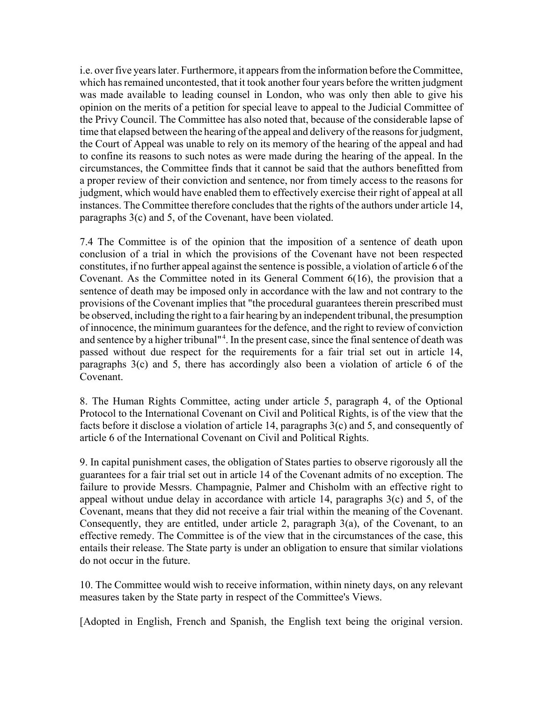i.e. over five years later. Furthermore, it appears from the information before the Committee, which has remained uncontested, that it took another four years before the written judgment was made available to leading counsel in London, who was only then able to give his opinion on the merits of a petition for special leave to appeal to the Judicial Committee of the Privy Council. The Committee has also noted that, because of the considerable lapse of time that elapsed between the hearing of the appeal and delivery of the reasons for judgment, the Court of Appeal was unable to rely on its memory of the hearing of the appeal and had to confine its reasons to such notes as were made during the hearing of the appeal. In the circumstances, the Committee finds that it cannot be said that the authors benefitted from a proper review of their conviction and sentence, nor from timely access to the reasons for judgment, which would have enabled them to effectively exercise their right of appeal at all instances. The Committee therefore concludes that the rights of the authors under article 14, paragraphs 3(c) and 5, of the Covenant, have been violated.

7.4 The Committee is of the opinion that the imposition of a sentence of death upon conclusion of a trial in which the provisions of the Covenant have not been respected constitutes, if no further appeal against the sentence is possible, a violation of article 6 of the Covenant. As the Committee noted in its General Comment 6(16), the provision that a sentence of death may be imposed only in accordance with the law and not contrary to the provisions of the Covenant implies that "the procedural guarantees therein prescribed must be observed, including the right to a fair hearing by an independent tribunal, the presumption of innocence, the minimum guarantees for the defence, and the right to review of conviction and sentence by a higher tribunal"<sup>4</sup>. In the present case, since the final sentence of death was passed without due respect for the requirements for a fair trial set out in article 14, paragraphs 3(c) and 5, there has accordingly also been a violation of article 6 of the Covenant.

8. The Human Rights Committee, acting under article 5, paragraph 4, of the Optional Protocol to the International Covenant on Civil and Political Rights, is of the view that the facts before it disclose a violation of article 14, paragraphs 3(c) and 5, and consequently of article 6 of the International Covenant on Civil and Political Rights.

9. In capital punishment cases, the obligation of States parties to observe rigorously all the guarantees for a fair trial set out in article 14 of the Covenant admits of no exception. The failure to provide Messrs. Champagnie, Palmer and Chisholm with an effective right to appeal without undue delay in accordance with article 14, paragraphs 3(c) and 5, of the Covenant, means that they did not receive a fair trial within the meaning of the Covenant. Consequently, they are entitled, under article 2, paragraph 3(a), of the Covenant, to an effective remedy. The Committee is of the view that in the circumstances of the case, this entails their release. The State party is under an obligation to ensure that similar violations do not occur in the future.

10. The Committee would wish to receive information, within ninety days, on any relevant measures taken by the State party in respect of the Committee's Views.

[Adopted in English, French and Spanish, the English text being the original version.